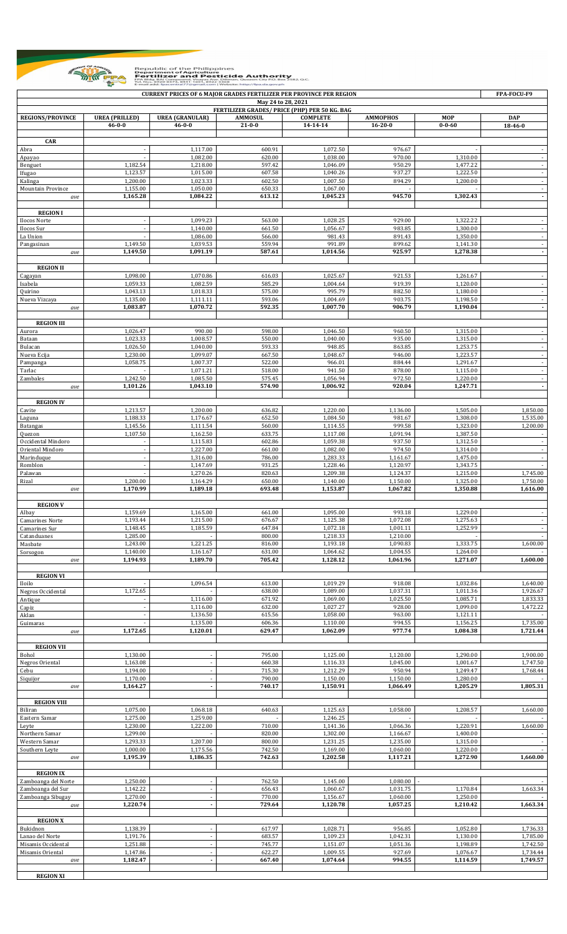

Republic of the Philippines<br> **Example The Property of Agriculture of Authority**<br> **Example Perfoliose and Peat During Authority**<br>
The Construction of the Peat During Authority Police Peat During Authority<br>
The Mail and Agri

| <b>CURRENT PRICES OF 6 MAJOR GRADES FERTILIZER PER PROVINCE PER REGION</b><br>FPA-FOCU-F9<br>May 24 to 28, 2021 |                       |                        |                  |                                               |                      |                      |                                    |  |  |  |  |
|-----------------------------------------------------------------------------------------------------------------|-----------------------|------------------------|------------------|-----------------------------------------------|----------------------|----------------------|------------------------------------|--|--|--|--|
|                                                                                                                 |                       |                        |                  | FERTILIZER GRADES/ PRICE (PHP) PER 50 KG. BAG |                      |                      |                                    |  |  |  |  |
| <b>REGIONS/PROVINCE</b>                                                                                         | <b>UREA (PRILLED)</b> | <b>UREA (GRANULAR)</b> | <b>AMMOSUL</b>   | <b>COMPLETE</b>                               | <b>AMMOPHOS</b>      | <b>MOP</b>           | <b>DAP</b>                         |  |  |  |  |
|                                                                                                                 | $46 - 0 - 0$          | $46 - 0 - 0$           | $21 - 0 - 0$     | 14-14-14                                      | $16 - 20 - 0$        | $0 - 0 - 60$         | 18-46-0                            |  |  |  |  |
| CAR                                                                                                             |                       |                        |                  |                                               |                      |                      |                                    |  |  |  |  |
| Abra                                                                                                            |                       | 1,117.00               | 600.91           | 1,072.50                                      | 976.67               |                      |                                    |  |  |  |  |
| Apayao                                                                                                          |                       | 1,082.00               | 620.00           | 1,038.00                                      | 970.00               | 1,310.00             | $\sim$                             |  |  |  |  |
| Benguet<br>Ifugao                                                                                               | 1,182.54<br>1,123.57  | 1,218.00<br>1,015.00   | 597.42<br>607.58 | 1,046.09<br>1,040.26                          | 950.29<br>937.27     | 1,477.22<br>1,222.50 | $\sim$                             |  |  |  |  |
| Kalinga                                                                                                         | 1,200.00              | 1,023.33               | 602.50           | 1,007.50                                      | 894.29               | 1,200.00             |                                    |  |  |  |  |
| Mountain Province                                                                                               | 1,155.00              | 1,050.00               | 650.33           | 1,067.00                                      |                      |                      | $\sim$                             |  |  |  |  |
| ave                                                                                                             | 1,165.28              | 1,084.22               | 613.12           | 1,045.23                                      | 945.70               | 1,302.43             | $\overline{\phantom{a}}$           |  |  |  |  |
| <b>REGION I</b>                                                                                                 |                       |                        |                  |                                               |                      |                      |                                    |  |  |  |  |
| Ilocos Norte                                                                                                    |                       | 1,099.23               | 563.00           | 1,028.25                                      | 929.00               | 1,322.22             |                                    |  |  |  |  |
| Ilocos Sur                                                                                                      |                       | 1,140.00               | 661.50           | 1,056.67                                      | 983.85               | 1,300.00             |                                    |  |  |  |  |
| La Union                                                                                                        | 1,149.50              | 1,086.00               | 566.00<br>559.94 | 981.43<br>991.89                              | 891.43<br>899.62     | 1,350.00             | $\blacksquare$<br>$\sim$           |  |  |  |  |
| Pangasinan<br>ave                                                                                               | 1,149.50              | 1,039.53<br>1,091.19   | 587.61           | 1,014.56                                      | 925.97               | 1,141.30<br>1,278.38 | $\overline{\phantom{a}}$           |  |  |  |  |
|                                                                                                                 |                       |                        |                  |                                               |                      |                      |                                    |  |  |  |  |
| <b>REGION II</b>                                                                                                |                       |                        |                  |                                               |                      |                      |                                    |  |  |  |  |
| Cagayan                                                                                                         | 1,098.00              | 1,070.86               | 616.03           | 1,025.67                                      | 921.53               | 1,261.67             |                                    |  |  |  |  |
| Isabela<br>Quirino                                                                                              | 1,059.33<br>1,043.13  | 1,082.59<br>1,018.33   | 585.29<br>575.00 | 1,004.64<br>995.79                            | 919.39<br>882.50     | 1,120.00<br>1,180.00 | $\blacksquare$                     |  |  |  |  |
| Nueva Vizcaya                                                                                                   | 1,135.00              | 1,111.11               | 593.06           | 1,004.69                                      | 903.75               | 1,198.50             |                                    |  |  |  |  |
| ave                                                                                                             | 1,083.87              | 1,070.72               | 592.35           | 1,007.70                                      | 906.79               | 1,190.04             | $\overline{\phantom{a}}$           |  |  |  |  |
|                                                                                                                 |                       |                        |                  |                                               |                      |                      |                                    |  |  |  |  |
| <b>REGION III</b><br>Aurora                                                                                     | 1,026.47              | 990.00                 | 598.00           | 1.046.50                                      | 960.50               | 1,315.00             |                                    |  |  |  |  |
| Bataan                                                                                                          | 1,023.33              | 1,008.57               | 550.00           | 1,040.00                                      | 935.00               | 1,315.00             | $\sim$                             |  |  |  |  |
| Bulacan                                                                                                         | 1,026.50              | 1,040.00               | 593.33           | 948.85                                        | 863.85               | 1,253.75             |                                    |  |  |  |  |
| Nueva Ecija                                                                                                     | 1,230.00              | 1,099.07               | 667.50           | 1,048.67                                      | 946.00               | 1,223.57             | $\blacksquare$                     |  |  |  |  |
| Pampanga                                                                                                        | 1,058.75              | 1,007.37               | 522.00<br>518.00 | 966.01<br>941.50                              | 884.44<br>878.00     | 1,291.67<br>1,115.00 | $\blacksquare$                     |  |  |  |  |
| Tarlac<br>Zambales                                                                                              | 1,242.50              | 1,071.21<br>1,085.50   | 575.45           | 1,056.94                                      | 972.50               | 1,220.00             | $\overline{\phantom{a}}$           |  |  |  |  |
| ave                                                                                                             | 1,101.26              | 1,043.10               | 574.90           | 1,006.92                                      | 920.04               | 1,247.71             | $\overline{\phantom{a}}$           |  |  |  |  |
|                                                                                                                 |                       |                        |                  |                                               |                      |                      |                                    |  |  |  |  |
| <b>REGION IV</b>                                                                                                | 1,213.57              | 1,200.00               | 636.82           | 1,220.00                                      |                      | 1,505.00             |                                    |  |  |  |  |
| Cavite<br>Laguna                                                                                                | 1,188.33              | 1,176.67               | 652.50           | 1,084.50                                      | 1,136.00<br>981.67   | 1,308.00             | 1,850.00<br>1,535.00               |  |  |  |  |
| Batangas                                                                                                        | 1,145.56              | 1,111.54               | 560.00           | 1,114.55                                      | 999.58               | 1,323.00             | 1,200.00                           |  |  |  |  |
| Quezon                                                                                                          | 1,107.50              | 1,162.50               | 633.75           | 1,117.08                                      | 1,091.94             | 1,387.50             |                                    |  |  |  |  |
| Occidental Mindoro                                                                                              |                       | 1,115.83               | 602.86           | 1,059.38                                      | 937.50               | 1,312.50             |                                    |  |  |  |  |
| Oriental Mindoro<br>Marinduque                                                                                  |                       | 1,227.00<br>1,316.00   | 661.00<br>786.00 | 1,082.00<br>1,283.33                          | 974.50<br>1,161.67   | 1,314.00<br>1,475.00 | $\blacksquare$                     |  |  |  |  |
| Romblon                                                                                                         |                       | 1,147.69               | 931.25           | 1,228.46                                      | 1,120.97             | 1,343.75             | $\overline{\phantom{a}}$           |  |  |  |  |
| Palawan                                                                                                         |                       | 1,270.26               | 820.63           | 1,209.38                                      | 1,124.37             | 1,215.00             | 1,745.00                           |  |  |  |  |
| Rizal                                                                                                           | 1,200.00              | 1,164.29               | 650.00           | 1,140.00                                      | 1,150.00             | 1,325.00             | 1,750.00                           |  |  |  |  |
| ave                                                                                                             | 1,170.99              | 1,189.18               | 693.48           | 1,153.87                                      | 1,067.82             | 1,350.88             | 1,616.00                           |  |  |  |  |
| <b>REGION V</b>                                                                                                 |                       |                        |                  |                                               |                      |                      |                                    |  |  |  |  |
| Albay                                                                                                           | 1,159.69              | 1,165.00               | 661.00           | 1,095.00                                      | 993.18               | 1,229.00             |                                    |  |  |  |  |
| Camarines Norte                                                                                                 | 1,193.44              | 1,215.00               | 676.67           | 1,125.38                                      | 1,072.08             | 1,275.63             |                                    |  |  |  |  |
| Camarines Sur                                                                                                   | 1,148.45<br>1,285.00  | 1,185.59               | 647.84<br>800.00 | 1,072.18<br>1,218.33                          | 1,001.11<br>1,210.00 | 1,252.99             | $\overline{\phantom{a}}$<br>$\sim$ |  |  |  |  |
| Catanduanes<br>Masbate                                                                                          | 1,243.00              | 1,221.25               | 816.00           | 1,193.18                                      | 1,090.83             | 1,333.75             | 1,600.00                           |  |  |  |  |
| Sorsogon                                                                                                        | 1,140.00              | 1,161.67               | 631.00           | 1,064.62                                      | 1,004.55             | 1,264.00             |                                    |  |  |  |  |
| ave                                                                                                             | 1,194.93              | 1,189.70               | 705.42           | 1,128.12                                      | 1,061.96             | 1,271.07             | 1,600.00                           |  |  |  |  |
| <b>REGION VI</b>                                                                                                |                       |                        |                  |                                               |                      |                      |                                    |  |  |  |  |
| Iloilo                                                                                                          |                       | 1,096.54               | 613.00           | 1,019.29                                      | 918.08               | 1,032.86             | 1,640.00                           |  |  |  |  |
| Negros Occidental                                                                                               | 1,172.65              |                        | 638.00           | 1,089.00                                      | 1,037.31             | 1,011.36             | 1,926.67                           |  |  |  |  |
| Antique                                                                                                         |                       | 1,116.00               | 671.92           | 1,069.00                                      | 1,025.50             | 1,085.71             | 1,833.33                           |  |  |  |  |
| Capiz                                                                                                           |                       | 1,116.00<br>1,136.50   | 632.00<br>615.56 | 1,027.27<br>1,058.00                          | 928.00<br>963.00     | 1,099.00<br>1,121.11 | 1,472.22                           |  |  |  |  |
| Aklan<br>Guimaras                                                                                               |                       | 1,135.00               | 606.36           | 1,110.00                                      | 994.55               | 1,156.25             | 1,735.00                           |  |  |  |  |
| ave                                                                                                             | 1,172.65              | 1,120.01               | 629.47           | 1,062.09                                      | 977.74               | 1,084.38             | 1,721.44                           |  |  |  |  |
|                                                                                                                 |                       |                        |                  |                                               |                      |                      |                                    |  |  |  |  |
| <b>REGION VII</b>                                                                                               |                       |                        |                  |                                               |                      |                      |                                    |  |  |  |  |
| Bohol<br>Negros Oriental                                                                                        | 1,130.00<br>1,163.08  | $\blacksquare$         | 795.00<br>660.38 | 1,125.00<br>1,116.33                          | 1,120.00<br>1,045.00 | 1,290.00<br>1,001.67 | 1,900.00<br>1,747.50               |  |  |  |  |
| Cebu                                                                                                            | 1,194.00              |                        | 715.30           | 1,212.29                                      | 950.94               | 1,249.47             | 1,768.44                           |  |  |  |  |
| Siquijor                                                                                                        | 1,170.00              |                        | 790.00           | 1,150.00                                      | 1,150.00             | 1,280.00             |                                    |  |  |  |  |
| ave                                                                                                             | 1,164.27              |                        | 740.17           | 1,150.91                                      | 1,066.49             | 1,205.29             | 1,805.31                           |  |  |  |  |
| <b>REGION VIII</b>                                                                                              |                       |                        |                  |                                               |                      |                      |                                    |  |  |  |  |
| Biliran                                                                                                         | 1,075.00              | 1,068.18               | 640.63           | 1,125.63                                      | 1,058.00             | 1,208.57             | 1,660.00                           |  |  |  |  |
| Eastern Samar                                                                                                   | 1,275.00              | 1,259.00               |                  | 1,246.25                                      |                      |                      |                                    |  |  |  |  |
| Leyte                                                                                                           | 1,230.00              | 1,222.00               | 710.00           | 1,141.36                                      | 1,066.36             | 1,220.91             | 1,660.00                           |  |  |  |  |
| Northern Samar<br>Western Samar                                                                                 | 1,299.00<br>1,293.33  | 1,207.00               | 820.00<br>800.00 | 1,302.00<br>1,231.25                          | 1,166.67<br>1,235.00 | 1,400.00<br>1,315.00 |                                    |  |  |  |  |
| Southern Leyte                                                                                                  | 1,000.00              | 1,175.56               | 742.50           | 1,169.00                                      | 1,060.00             | 1,220.00             |                                    |  |  |  |  |
| ave                                                                                                             | 1,195.39              | 1,186.35               | 742.63           | 1,202.58                                      | 1,117.21             | 1,272.90             | 1,660.00                           |  |  |  |  |
|                                                                                                                 |                       |                        |                  |                                               |                      |                      |                                    |  |  |  |  |
| <b>REGION IX</b><br>Zamboanga del Norte                                                                         | 1,250.00              |                        | 762.50           | 1,145.00                                      | 1,080.00             |                      |                                    |  |  |  |  |
| Zamboanga del Sur                                                                                               | 1,142.22              | $\omega$               | 656.43           | 1,060.67                                      | 1,031.75             | 1,170.84             | 1,663.34                           |  |  |  |  |
| Zamboanga Sibugay                                                                                               | 1,270.00              |                        | 770.00           | 1,156.67                                      | 1,060.00             | 1,250.00             |                                    |  |  |  |  |
| ave                                                                                                             | 1,220.74              | $\blacksquare$         | 729.64           | 1,120.78                                      | 1,057.25             | 1,210.42             | 1,663.34                           |  |  |  |  |
|                                                                                                                 |                       |                        |                  |                                               |                      |                      |                                    |  |  |  |  |
| <b>REGION X</b><br>Bukidnon                                                                                     | 1.138.39              | $\bar{a}$              | 617.97           | 1,028.71                                      | 956.85               | 1,052.80             | 1,736.33                           |  |  |  |  |
| Lanao del Norte                                                                                                 | 1,191.76              |                        | 683.57           | 1,109.23                                      | 1,042.31             | 1,130.00             | 1,785.00                           |  |  |  |  |
| Misamis Occidental                                                                                              | 1,251.88              |                        | 745.77           | 1,151.07                                      | 1,051.36             | 1,198.89             | 1,742.50                           |  |  |  |  |
| Misamis Oriental                                                                                                | 1,147.86<br>1,182.47  |                        | 622.27<br>667.40 | 1,009.55<br>1,074.64                          | 927.69<br>994.55     | 1,076.67<br>1,114.59 | 1,734.44<br>1,749.57               |  |  |  |  |
| ave                                                                                                             |                       |                        |                  |                                               |                      |                      |                                    |  |  |  |  |
| <b>REGION XI</b>                                                                                                |                       |                        |                  |                                               |                      |                      |                                    |  |  |  |  |